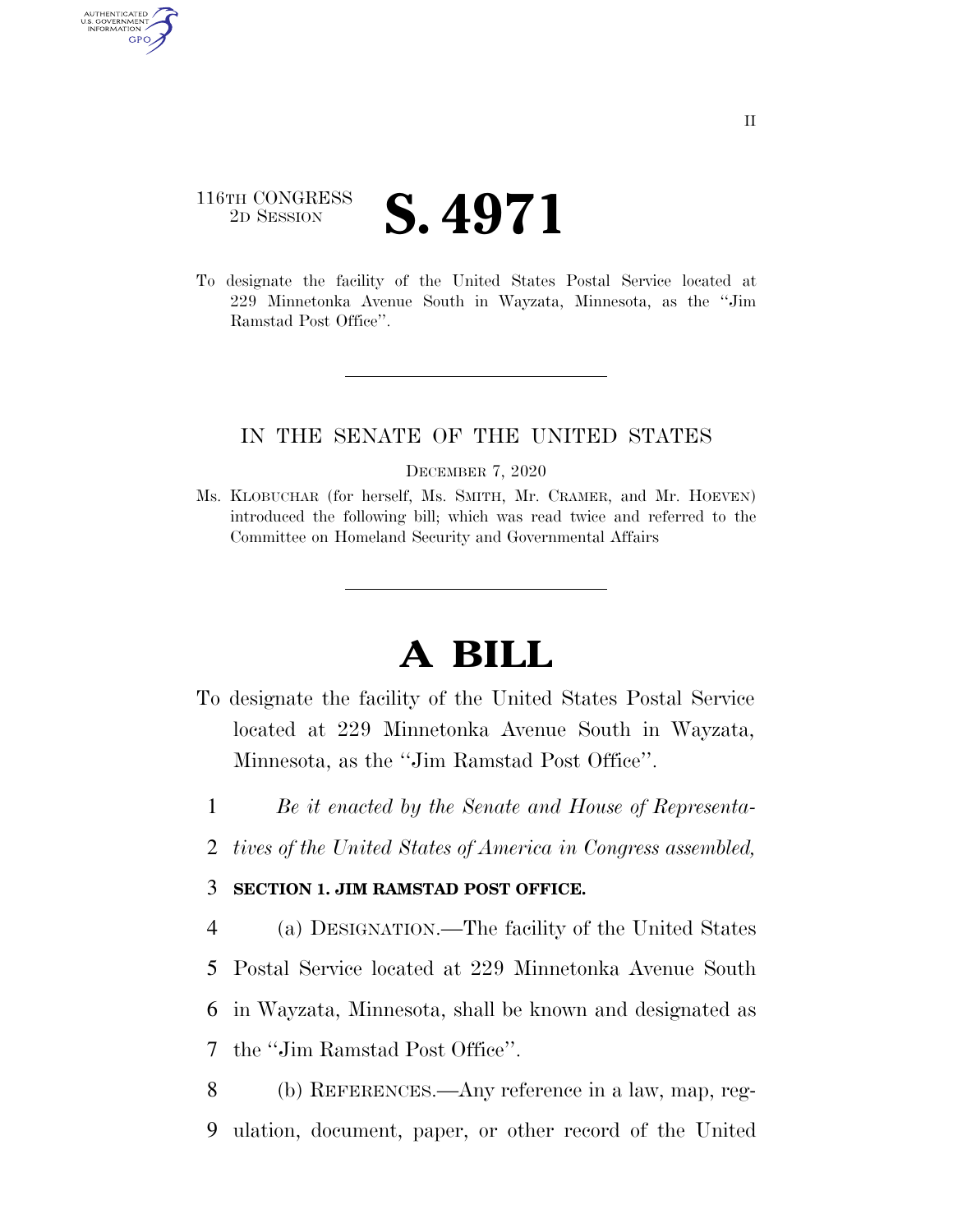## 116TH CONGRESS <sup>TH CONGRESS</sup> **S. 4971**

AUTHENTICATED U.S. GOVERNMENT GPO

> To designate the facility of the United States Postal Service located at 229 Minnetonka Avenue South in Wayzata, Minnesota, as the ''Jim Ramstad Post Office''.

## IN THE SENATE OF THE UNITED STATES

DECEMBER 7, 2020

Ms. KLOBUCHAR (for herself, Ms. SMITH, Mr. CRAMER, and Mr. HOEVEN) introduced the following bill; which was read twice and referred to the Committee on Homeland Security and Governmental Affairs

## **A BILL**

- To designate the facility of the United States Postal Service located at 229 Minnetonka Avenue South in Wayzata, Minnesota, as the ''Jim Ramstad Post Office''.
	- 1 *Be it enacted by the Senate and House of Representa-*
	- 2 *tives of the United States of America in Congress assembled,*

## 3 **SECTION 1. JIM RAMSTAD POST OFFICE.**

 (a) DESIGNATION.—The facility of the United States Postal Service located at 229 Minnetonka Avenue South in Wayzata, Minnesota, shall be known and designated as the ''Jim Ramstad Post Office''.

8 (b) REFERENCES.—Any reference in a law, map, reg-9 ulation, document, paper, or other record of the United